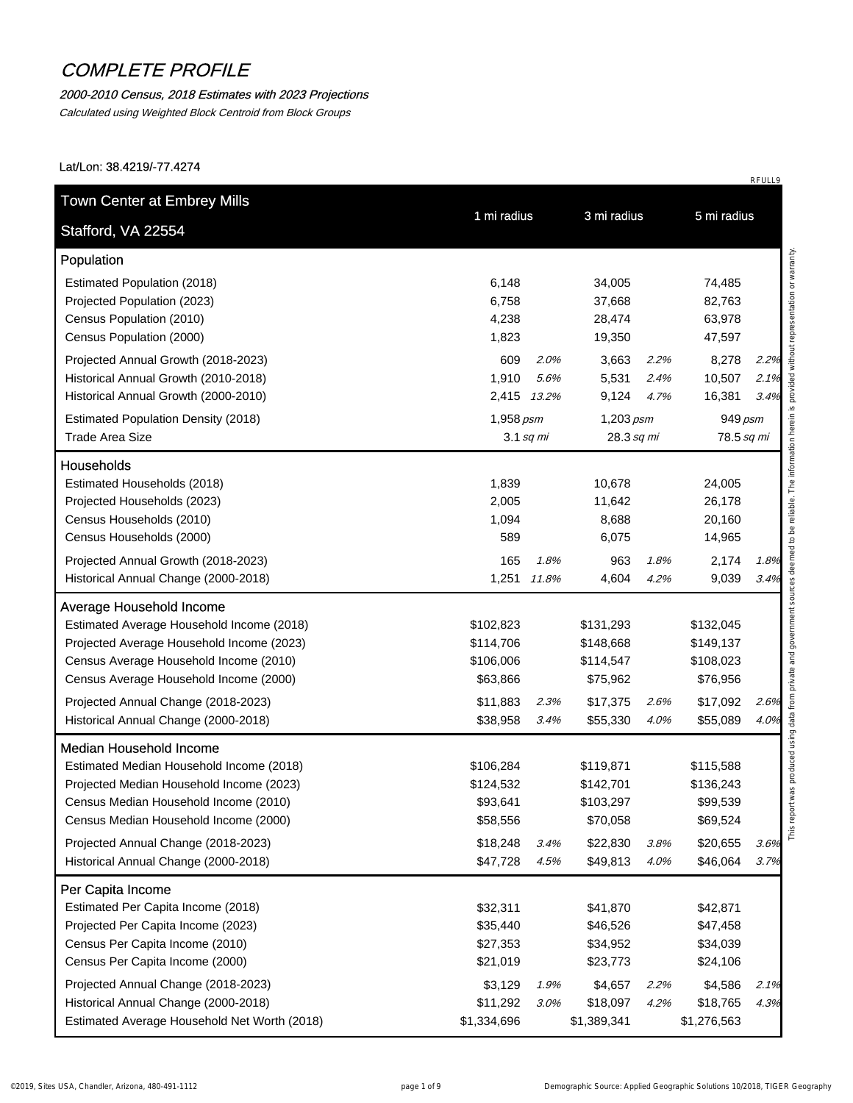#### 2000-2010 Census, 2018 Estimates with 2023 Projections

Calculated using Weighted Block Centroid from Block Groups

Lat/Lon: 38.4219/-77.4274

| Stafford, VA 22554                                                                                                                                                                                                                                                                      | 1 mi radius                                                            |                 | 3 mi radius                                                             |                      | 5 mi radius                                                            |                      |
|-----------------------------------------------------------------------------------------------------------------------------------------------------------------------------------------------------------------------------------------------------------------------------------------|------------------------------------------------------------------------|-----------------|-------------------------------------------------------------------------|----------------------|------------------------------------------------------------------------|----------------------|
| Population                                                                                                                                                                                                                                                                              |                                                                        |                 |                                                                         |                      |                                                                        |                      |
| Estimated Population (2018)<br>Projected Population (2023)<br>Census Population (2010)<br>Census Population (2000)                                                                                                                                                                      | 6,148<br>6,758<br>4,238<br>1,823                                       |                 | 34,005<br>37,668<br>28,474<br>19,350                                    |                      | 74,485<br>82,763<br>63,978<br>47,597                                   |                      |
| Projected Annual Growth (2018-2023)<br>Historical Annual Growth (2010-2018)<br>Historical Annual Growth (2000-2010)                                                                                                                                                                     | 609<br>1,910<br>2,415 13.2%                                            | 2.0%<br>5.6%    | 3,663<br>5,531<br>9,124                                                 | 2.2%<br>2.4%<br>4.7% | 8,278<br>10,507<br>16,381                                              | 2.2%<br>2.1%<br>3.4% |
| <b>Estimated Population Density (2018)</b><br><b>Trade Area Size</b>                                                                                                                                                                                                                    | 1,958 psm                                                              | $3.1$ sq mi     | $1,203$ psm<br>28.3 sq mi                                               |                      | 949 psm<br>78.5 sq mi                                                  |                      |
| <b>Households</b>                                                                                                                                                                                                                                                                       |                                                                        |                 |                                                                         |                      |                                                                        |                      |
| Estimated Households (2018)<br>Projected Households (2023)<br>Census Households (2010)<br>Census Households (2000)                                                                                                                                                                      | 1,839<br>2,005<br>1,094<br>589                                         |                 | 10,678<br>11,642<br>8,688<br>6,075                                      |                      | 24,005<br>26,178<br>20,160<br>14,965                                   |                      |
| Projected Annual Growth (2018-2023)<br>Historical Annual Change (2000-2018)                                                                                                                                                                                                             | 165<br>1,251                                                           | 1.8%<br>11.8%   | 963<br>4,604                                                            | 1.8%<br>4.2%         | 2,174<br>9,039                                                         | 1.8%<br>3.4%         |
| <b>Average Household Income</b>                                                                                                                                                                                                                                                         |                                                                        |                 |                                                                         |                      |                                                                        |                      |
| Estimated Average Household Income (2018)<br>Projected Average Household Income (2023)<br>Census Average Household Income (2010)<br>Census Average Household Income (2000)<br>Projected Annual Change (2018-2023)                                                                       | \$102,823<br>\$114,706<br>\$106,006<br>\$63,866<br>\$11,883            | 2.3%            | \$131,293<br>\$148,668<br>\$114,547<br>\$75,962<br>\$17,375             | 2.6%                 | \$132,045<br>\$149,137<br>\$108,023<br>\$76,956<br>\$17,092            | 2.6%                 |
| Historical Annual Change (2000-2018)                                                                                                                                                                                                                                                    | \$38,958                                                               | 3.4%            | \$55,330                                                                | 4.0%                 | \$55,089                                                               | 4.0%                 |
| <b>Median Household Income</b><br>Estimated Median Household Income (2018)<br>Projected Median Household Income (2023)<br>Census Median Household Income (2010)<br>Census Median Household Income (2000)<br>Projected Annual Change (2018-2023)<br>Historical Annual Change (2000-2018) | \$106,284<br>\$124,532<br>\$93,641<br>\$58,556<br>\$18,248<br>\$47,728 | 3.4%<br>4.5%    | \$119,871<br>\$142,701<br>\$103,297<br>\$70,058<br>\$22,830<br>\$49,813 | 3.8%<br>4.0%         | \$115,588<br>\$136,243<br>\$99,539<br>\$69,524<br>\$20,655<br>\$46,064 | 3.6%<br>3.7%         |
| Per Capita Income<br>Estimated Per Capita Income (2018)<br>Projected Per Capita Income (2023)<br>Census Per Capita Income (2010)<br>Census Per Capita Income (2000)                                                                                                                     | \$32,311<br>\$35,440<br>\$27,353<br>\$21,019                           |                 | \$41,870<br>\$46,526<br>\$34,952<br>\$23,773                            |                      | \$42,871<br>\$47,458<br>\$34,039<br>\$24,106                           |                      |
| Projected Annual Change (2018-2023)<br>Historical Annual Change (2000-2018)<br>Estimated Average Household Net Worth (2018)                                                                                                                                                             | \$3,129<br>\$11,292<br>\$1,334,696                                     | 1.9%<br>$3.0\%$ | \$4,657<br>\$18,097<br>\$1,389,341                                      | 2.2%<br>4.2%         | \$4,586<br>\$18,765<br>\$1,276,563                                     | 2.1%<br>4.3%         |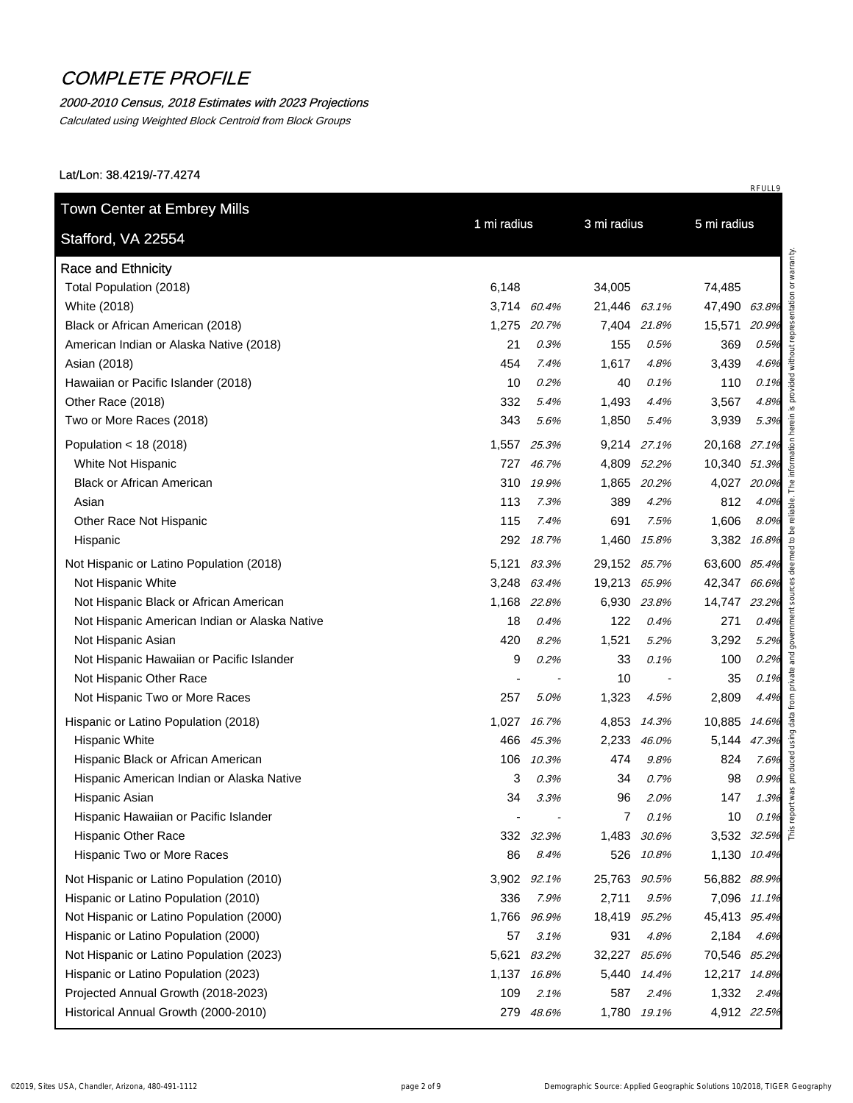### 2000-2010 Census, 2018 Estimates with 2023 Projections

Calculated using Weighted Block Centroid from Block Groups

Lat/Lon: 38.4219/-77.4274

| <b>Race and Ethnicity</b>                     |       |             |              |             |               |       |
|-----------------------------------------------|-------|-------------|--------------|-------------|---------------|-------|
| Total Population (2018)                       | 6,148 |             | 34,005       |             | 74,485        |       |
| White (2018)                                  |       | 3,714 60.4% | 21,446 63.1% |             | 47,490 63.8%  |       |
| Black or African American (2018)              |       | 1,275 20.7% |              | 7,404 21.8% | 15,571        | 20.9% |
| American Indian or Alaska Native (2018)       | 21    | 0.3%        | 155          | 0.5%        | 369           | 0.5%  |
| Asian (2018)                                  | 454   | 7.4%        | 1,617        | 4.8%        | 3,439         | 4.6%  |
| Hawaiian or Pacific Islander (2018)           | 10    | 0.2%        | 40           | 0.1%        | 110           | 0.1%  |
| Other Race (2018)                             | 332   | 5.4%        | 1,493        | 4.4%        | 3,567         | 4.8%  |
| Two or More Races (2018)                      | 343   | 5.6%        | 1,850        | 5.4%        | 3,939         | 5.3%  |
| Population < $18(2018)$                       | 1,557 | 25.3%       |              | 9,214 27.1% | 20,168 27.1%  |       |
| White Not Hispanic                            | 727   | 46.7%       |              | 4,809 52.2% | 10,340 51.3%  |       |
| <b>Black or African American</b>              | 310   | 19.9%       | 1,865        | 20.2%       | 4,027 20.0%   |       |
| Asian                                         | 113   | 7.3%        | 389          | 4.2%        | 812           | 4.0%  |
| Other Race Not Hispanic                       | 115   | 7.4%        | 691          | 7.5%        | 1,606         | 8.0%  |
| Hispanic                                      | 292   | 18.7%       |              | 1,460 15.8% | 3,382 16.8%   |       |
| Not Hispanic or Latino Population (2018)      | 5,121 | 83.3%       | 29,152 85.7% |             | 63,600 85.4%  |       |
| Not Hispanic White                            |       | 3,248 63.4% | 19,213 65.9% |             | 42,347 66.6%  |       |
| Not Hispanic Black or African American        |       | 1,168 22.8% |              | 6,930 23.8% | 14,747 23.2%  |       |
| Not Hispanic American Indian or Alaska Native | 18    | 0.4%        | 122          | 0.4%        | 271           | 0.4%  |
| Not Hispanic Asian                            | 420   | 8.2%        | 1,521        | 5.2%        | 3,292         | 5.2%  |
| Not Hispanic Hawaiian or Pacific Islander     | 9     | 0.2%        | 33           | 0.1%        | 100           | 0.2%  |
| Not Hispanic Other Race                       |       |             | 10           |             | 35            | 0.1%  |
| Not Hispanic Two or More Races                | 257   | 5.0%        | 1,323        | 4.5%        | 2,809         | 4.4%  |
| Hispanic or Latino Population (2018)          | 1,027 | 16.7%       | 4,853        | 14.3%       | 10,885 14.6%  |       |
| <b>Hispanic White</b>                         | 466   | 45.3%       | 2,233        | 46.0%       | 5,144 47.3%   |       |
| Hispanic Black or African American            | 106   | 10.3%       | 474          | 9.8%        | 824           | 7.6%  |
| Hispanic American Indian or Alaska Native     | 3     | 0.3%        | 34           | 0.7%        | 98            | 0.9%  |
| Hispanic Asian                                | 34    | 3.3%        | 96           | 2.0%        | 147           | 1.3%  |
| Hispanic Hawaiian or Pacific Islander         |       |             | 7            | 0.1%        | 10            | 0.1%  |
| <b>Hispanic Other Race</b>                    | 332   | 32.3%       | 1,483        | 30.6%       | 3,532 32.5% E |       |
| Hispanic Two or More Races                    | 86    | 8.4%        |              | 526 10.8%   | 1,130 10.4%   |       |
| Not Hispanic or Latino Population (2010)      | 3,902 | 92.1%       | 25,763 90.5% |             | 56,882 88.9%  |       |
| Hispanic or Latino Population (2010)          | 336   | 7.9%        | 2,711        | 9.5%        | 7,096 11.1%   |       |
| Not Hispanic or Latino Population (2000)      | 1,766 | 96.9%       | 18,419       | 95.2%       | 45,413 95.4%  |       |
| Hispanic or Latino Population (2000)          | 57    | 3.1%        | 931          | 4.8%        | 2,184         | 4.6%  |
| Not Hispanic or Latino Population (2023)      | 5,621 | 83.2%       | 32,227       | 85.6%       | 70,546 85.2%  |       |
| Hispanic or Latino Population (2023)          | 1,137 | 16.8%       |              | 5,440 14.4% | 12,217 14.8%  |       |
| Projected Annual Growth (2018-2023)           | 109   | 2.1%        | 587          | 2.4%        | 1,332 2.4%    |       |
| Historical Annual Growth (2000-2010)          |       | 279 48.6%   |              | 1,780 19.1% | 4,912 22.5%   |       |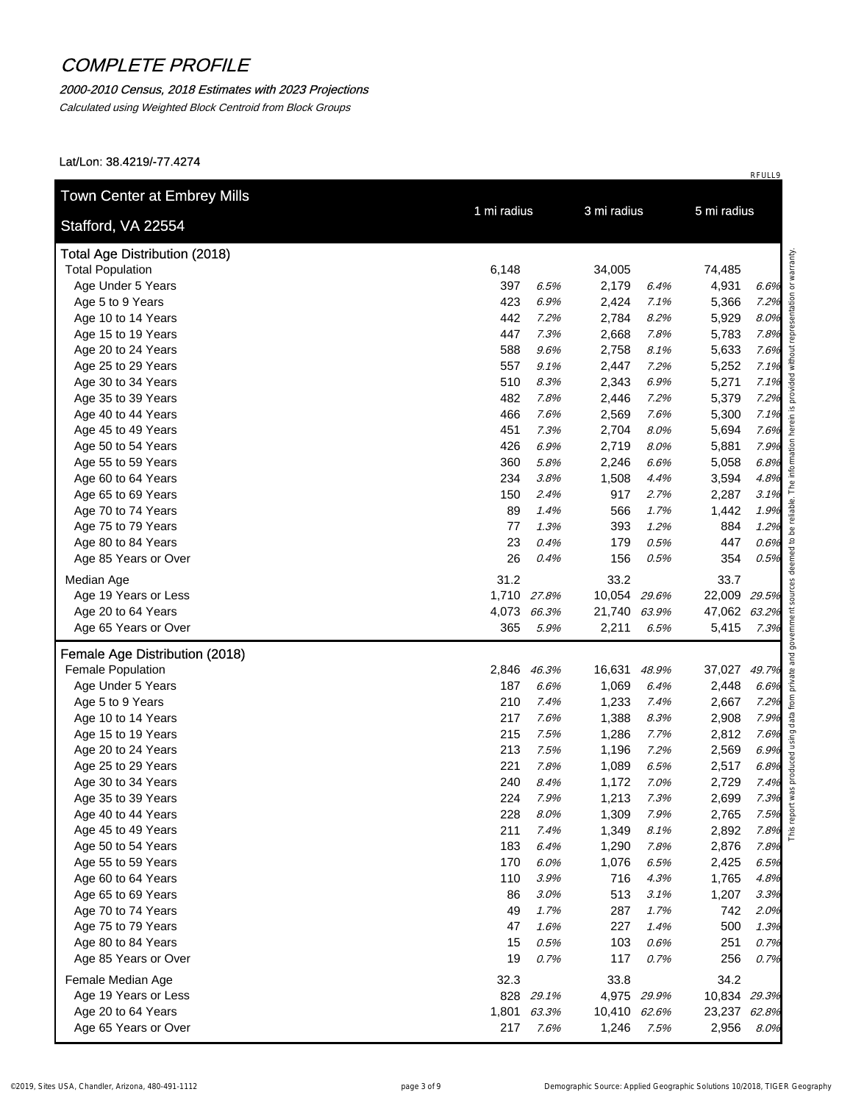### 2000-2010 Census, 2018 Estimates with 2023 Projections

Calculated using Weighted Block Centroid from Block Groups

| Stafford, VA 22554<br><b>Total Age Distribution (2018)</b><br><b>Total Population</b><br>Age Under 5 Years<br>Age 5 to 9 Years<br>Age 10 to 14 Years | 6,148<br>397 |               |                 |              |                 |              |
|------------------------------------------------------------------------------------------------------------------------------------------------------|--------------|---------------|-----------------|--------------|-----------------|--------------|
|                                                                                                                                                      |              |               |                 |              |                 |              |
|                                                                                                                                                      |              |               | 34,005          |              | 74,485          |              |
|                                                                                                                                                      |              | 6.5%          | 2,179           | 6.4%         | 4,931           | 6.6%         |
|                                                                                                                                                      | 423          | 6.9%          | 2,424           | 7.1%         | 5,366           | 7.2%         |
|                                                                                                                                                      | 442          | 7.2%          | 2,784           | 8.2%         | 5,929           | 8.0%         |
| Age 15 to 19 Years                                                                                                                                   | 447          | 7.3%          | 2,668           | 7.8%         | 5,783           | 7.8%         |
| Age 20 to 24 Years                                                                                                                                   | 588          | 9.6%          | 2,758           | 8.1%         | 5,633           | 7.6%         |
| Age 25 to 29 Years                                                                                                                                   | 557          | 9.1%          | 2,447           | 7.2%         | 5,252           | 7.1%         |
| Age 30 to 34 Years                                                                                                                                   | 510          | 8.3%          | 2,343           | 6.9%         | 5,271           | 7.1%         |
| Age 35 to 39 Years                                                                                                                                   | 482          | 7.8%          | 2,446           | 7.2%         | 5,379           | 7.2%         |
| Age 40 to 44 Years                                                                                                                                   | 466          | 7.6%          | 2,569           | 7.6%         | 5,300           | 7.1%         |
| Age 45 to 49 Years                                                                                                                                   | 451          | 7.3%          | 2,704           | 8.0%         | 5,694           | 7.6%         |
| Age 50 to 54 Years                                                                                                                                   | 426          | 6.9%          | 2,719           | 8.0%         | 5,881           | 7.9%         |
| Age 55 to 59 Years                                                                                                                                   | 360          | 5.8%          | 2,246           | 6.6%         | 5,058           | 6.8%         |
| Age 60 to 64 Years                                                                                                                                   | 234          | 3.8%          | 1,508           | 4.4%         | 3,594           | 4.8%         |
| Age 65 to 69 Years                                                                                                                                   | 150          | 2.4%          | 917             | 2.7%         | 2,287           | 3.1%         |
| Age 70 to 74 Years                                                                                                                                   | 89           | 1.4%          | 566             | 1.7%         | 1,442           | 1.9%         |
| Age 75 to 79 Years                                                                                                                                   | 77           | 1.3%          | 393             | 1.2%         | 884             | 1.2%         |
| Age 80 to 84 Years                                                                                                                                   | 23           | 0.4%          | 179             | 0.5%         | 447             | 0.6%         |
| Age 85 Years or Over                                                                                                                                 | 26           | 0.4%          | 156             | 0.5%         | 354             | 0.5%         |
| Median Age                                                                                                                                           | 31.2         |               | 33.2            |              | 33.7            |              |
| Age 19 Years or Less                                                                                                                                 |              | 1,710 27.8%   | 10,054 29.6%    |              | 22,009 29.5%    |              |
| Age 20 to 64 Years                                                                                                                                   |              | 4,073 66.3%   | 21,740 63.9%    |              | 47,062 63.2%    |              |
| Age 65 Years or Over                                                                                                                                 | 365          | 5.9%          | 2,211           | 6.5%         | 5,415 7.3%      |              |
|                                                                                                                                                      |              |               |                 |              |                 |              |
| Female Age Distribution (2018)                                                                                                                       |              |               |                 |              |                 |              |
| Female Population                                                                                                                                    | 2,846<br>187 | 46.3%<br>6.6% | 16,631<br>1,069 | 48.9%        | 37,027<br>2,448 | 49.7%        |
| Age Under 5 Years<br>Age 5 to 9 Years                                                                                                                | 210          | 7.4%          | 1,233           | 6.4%<br>7.4% | 2,667           | 6.6%<br>7.2% |
| Age 10 to 14 Years                                                                                                                                   | 217          | 7.6%          | 1,388           | 8.3%         | 2,908           | 7.9%         |
| Age 15 to 19 Years                                                                                                                                   | 215          | 7.5%          | 1,286           | 7.7%         | 2,812           | 7.6%         |
| Age 20 to 24 Years                                                                                                                                   | 213          | 7.5%          | 1,196           | 7.2%         | 2,569           | 6.9%         |
| Age 25 to 29 Years                                                                                                                                   | 221          | 7.8%          | 1,089           | 6.5%         | 2,517           | 6.8%         |
| Age 30 to 34 Years                                                                                                                                   | 240          | 8.4%          | 1,172           | 7.0%         | 2,729           | 7.4%         |
| Age 35 to 39 Years                                                                                                                                   | 224          | 7.9%          | 1,213           | 7.3%         | 2,699           | 7.3%         |
| Age 40 to 44 Years                                                                                                                                   | 228          | 8.0%          | 1,309           | 7.9%         | 2,765           | 7.5%         |
| Age 45 to 49 Years                                                                                                                                   | 211          | 7.4%          | 1,349           | 8.1%         | 2,892           | 7.8%         |
| Age 50 to 54 Years                                                                                                                                   | 183          | 6.4%          | 1,290           | 7.8%         | 2,876           | 7.8%         |
| Age 55 to 59 Years                                                                                                                                   | 170          | 6.0%          | 1,076           | 6.5%         | 2,425           | 6.5%         |
| Age 60 to 64 Years                                                                                                                                   | 110          | 3.9%          | 716             | 4.3%         | 1,765           | 4.8%         |
| Age 65 to 69 Years                                                                                                                                   | 86           | 3.0%          | 513             | 3.1%         | 1,207           | 3.3%         |
| Age 70 to 74 Years                                                                                                                                   | 49           | 1.7%          | 287             | 1.7%         | 742             | 2.0%         |
| Age 75 to 79 Years                                                                                                                                   | 47           | 1.6%          | 227             | 1.4%         | 500             | 1.3%         |
| Age 80 to 84 Years                                                                                                                                   | 15           | 0.5%          | 103             | 0.6%         | 251             | 0.7%         |
| Age 85 Years or Over                                                                                                                                 | 19           | 0.7%          | 117             | 0.7%         | 256             | 0.7%         |
| Female Median Age                                                                                                                                    | 32.3         |               | 33.8            |              | 34.2            |              |
| Age 19 Years or Less                                                                                                                                 |              | 828 29.1%     |                 | 4,975 29.9%  | 10,834 29.3%    |              |
| Age 20 to 64 Years                                                                                                                                   | 1,801        | 63.3%         | 10,410 62.6%    |              | 23,237 62.8%    |              |
| Age 65 Years or Over                                                                                                                                 | 217          | 7.6%          | 1,246           | 7.5%         | 2,956           | 8.0%         |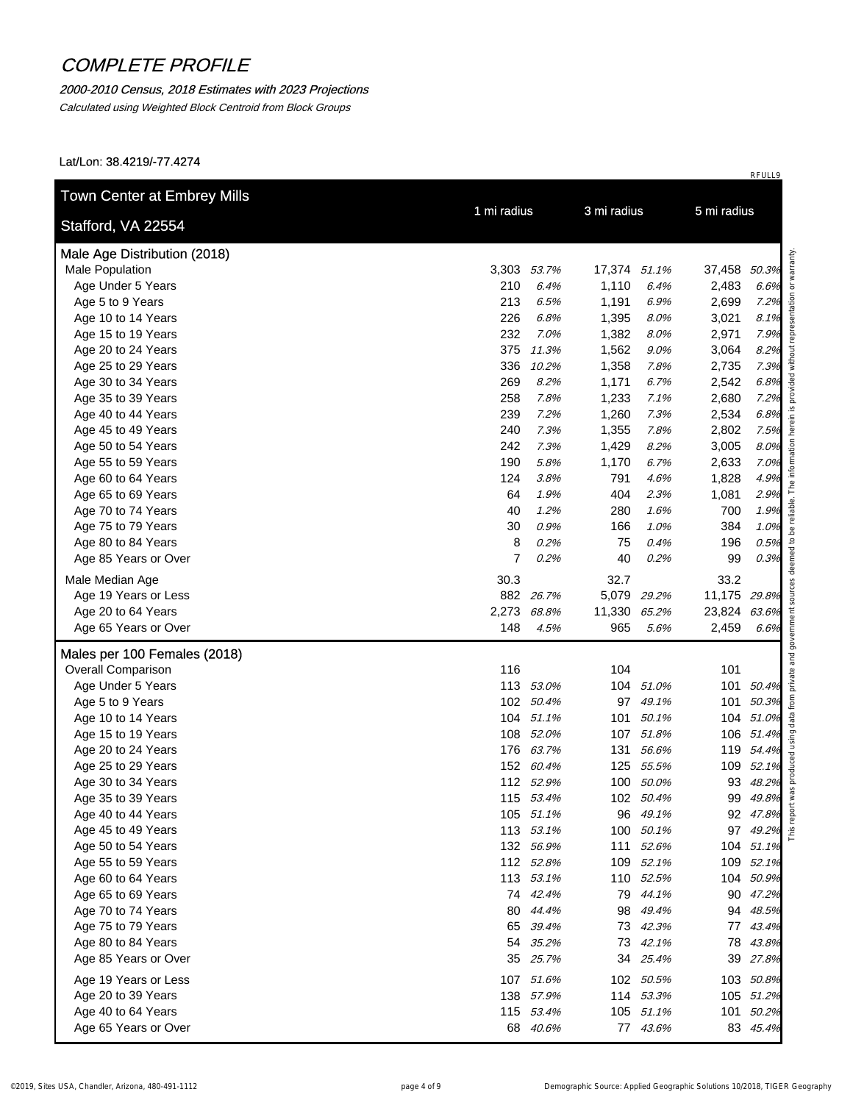### 2000-2010 Census, 2018 Estimates with 2023 Projections

Calculated using Weighted Block Centroid from Block Groups

| Stafford, VA 22554           | 1 mi radius    |           | 3 mi radius<br>5 mi radius |             |              |            |
|------------------------------|----------------|-----------|----------------------------|-------------|--------------|------------|
| Male Age Distribution (2018) |                |           |                            |             |              |            |
| Male Population              | 3,303 53.7%    |           | 17,374 51.1%               |             | 37,458 50.3% |            |
| Age Under 5 Years            | 210            | 6.4%      | 1,110                      | 6.4%        | 2,483        | 6.6%       |
| Age 5 to 9 Years             | 213            | 6.5%      | 1,191                      | 6.9%        | 2,699        | 7.2%       |
| Age 10 to 14 Years           | 226            | 6.8%      | 1,395                      | 8.0%        | 3,021        | 8.1%       |
| Age 15 to 19 Years           | 232            | 7.0%      | 1,382                      | 8.0%        | 2,971        | 7.9%       |
| Age 20 to 24 Years           |                | 375 11.3% | 1,562                      | $9.0\%$     | 3,064        | 8.2%       |
| Age 25 to 29 Years           | 336            | 10.2%     | 1,358                      | 7.8%        | 2,735        | 7.3%       |
| Age 30 to 34 Years           | 269            | 8.2%      | 1,171                      | 6.7%        | 2,542        | 6.8%       |
| Age 35 to 39 Years           | 258            | 7.8%      | 1,233                      | 7.1%        | 2,680        | 7.2%       |
| Age 40 to 44 Years           | 239            | 7.2%      | 1,260                      | 7.3%        | 2,534        | 6.8%       |
| Age 45 to 49 Years           | 240            | 7.3%      | 1,355                      | 7.8%        | 2,802        | 7.5%       |
| Age 50 to 54 Years           | 242            | 7.3%      | 1,429                      | 8.2%        | 3,005        | 8.0%       |
| Age 55 to 59 Years           | 190            | 5.8%      | 1,170                      | 6.7%        | 2,633        | 7.0%       |
| Age 60 to 64 Years           | 124            | 3.8%      | 791                        | 4.6%        | 1,828        | 4.9%       |
| Age 65 to 69 Years           | 64             | 1.9%      | 404                        | 2.3%        | 1,081        | 2.9%       |
| Age 70 to 74 Years           | 40             | 1.2%      | 280                        | 1.6%        | 700          | 1.9%       |
| Age 75 to 79 Years           | 30             | 0.9%      | 166                        | 1.0%        | 384          | 1.0%       |
| Age 80 to 84 Years           | 8              | 0.2%      | 75                         | 0.4%        | 196          | 0.5%       |
| Age 85 Years or Over         | $\overline{7}$ | 0.2%      | 40                         | 0.2%        | 99           | 0.3%       |
| Male Median Age              | 30.3           |           | 32.7                       |             | 33.2         |            |
| Age 19 Years or Less         |                | 882 26.7% |                            | 5,079 29.2% | 11,175 29.8% |            |
| Age 20 to 64 Years           | 2,273 68.8%    |           | 11,330 65.2%               |             | 23,824 63.6% |            |
| Age 65 Years or Over         | 148            | 4.5%      | 965                        | 5.6%        | 2,459        | 6.6%       |
| Males per 100 Females (2018) |                |           |                            |             |              |            |
| <b>Overall Comparison</b>    | 116            |           | 104                        |             | 101          |            |
| Age Under 5 Years            |                | 113 53.0% |                            | 104 51.0%   |              | 101 50.4%  |
| Age 5 to 9 Years             |                | 102 50.4% |                            | 97 49.1%    |              | 101 50.3%  |
| Age 10 to 14 Years           |                | 104 51.1% |                            | 101 50.1%   |              | 104 51.0%  |
| Age 15 to 19 Years           |                | 108 52.0% |                            | 107 51.8%   |              | 106 51.4%  |
| Age 20 to 24 Years           |                | 176 63.7% |                            | 131 56.6%   |              | 119 54.4%  |
| Age 25 to 29 Years           |                | 152 60.4% |                            | 125 55.5%   |              | 109 52.1%  |
| Age 30 to 34 Years           |                | 112 52.9% |                            | 100 50.0%   |              | 93 48.2%   |
| Age 35 to 39 Years           |                | 115 53.4% |                            | 102 50.4%   |              | 99 49.8%   |
| Age 40 to 44 Years           |                | 105 51.1% |                            | 96 49.1%    |              | 92 47.8%   |
| Age 45 to 49 Years           |                | 113 53.1% |                            | 100 50.1%   |              | 97 49.2% £ |
| Age 50 to 54 Years           |                | 132 56.9% |                            | 111 52.6%   |              | 104 51.1%  |
| Age 55 to 59 Years           |                | 112 52.8% |                            | 109 52.1%   |              | 109 52.1%  |
| Age 60 to 64 Years           |                | 113 53.1% |                            | 110 52.5%   |              | 104 50.9%  |
| Age 65 to 69 Years           |                | 74 42.4%  |                            | 79 44.1%    |              | 90 47.2%   |
| Age 70 to 74 Years           |                | 80 44.4%  |                            | 98 49.4%    |              | 94 48.5%   |
| Age 75 to 79 Years           |                | 65 39.4%  |                            | 73 42.3%    |              | 77 43.4%   |
| Age 80 to 84 Years           |                | 54 35.2%  |                            | 73 42.1%    |              | 78 43.8%   |
| Age 85 Years or Over         |                | 35 25.7%  |                            | 34 25.4%    |              | 39 27.8%   |
| Age 19 Years or Less         |                | 107 51.6% |                            | 102 50.5%   |              | 103 50.8%  |
| Age 20 to 39 Years           |                | 138 57.9% |                            | 114 53.3%   |              | 105 51.2%  |
|                              |                |           |                            | 105 51.1%   |              | 101 50.2%  |
| Age 40 to 64 Years           | 115 53.4%      |           |                            |             |              |            |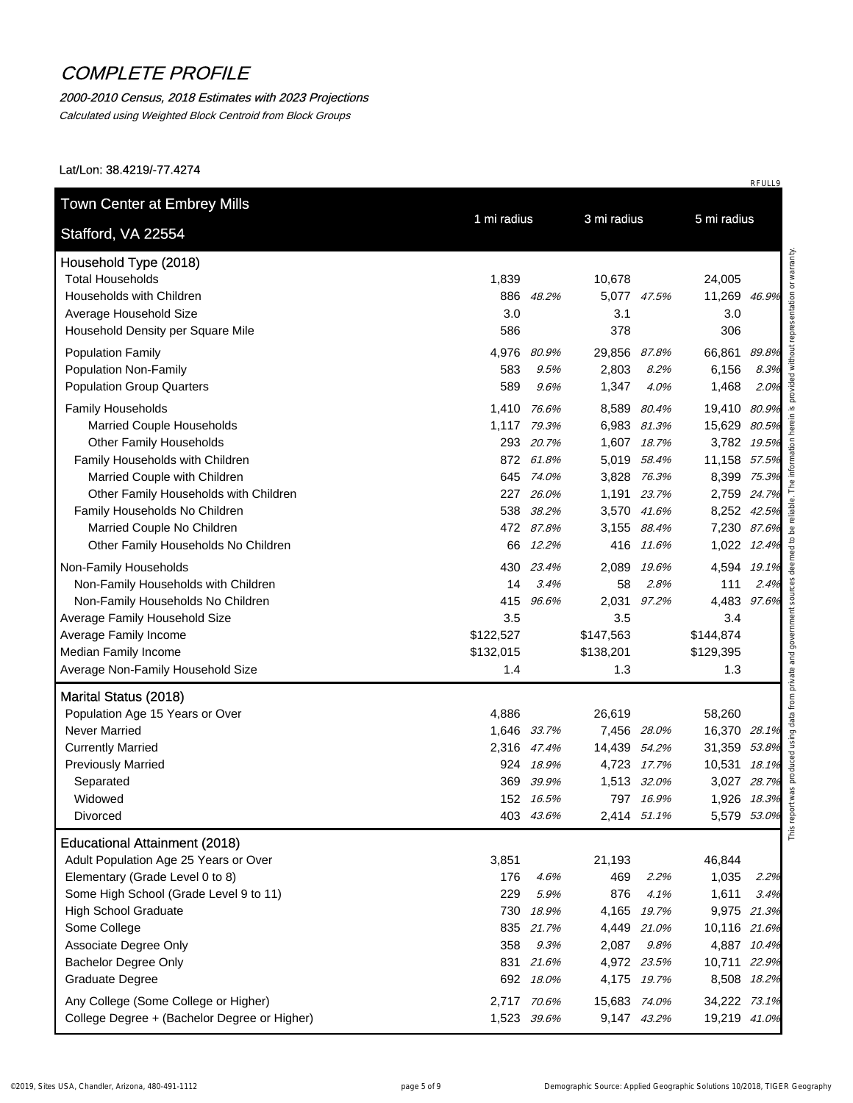#### 2000-2010 Census, 2018 Estimates with 2023 Projections

Calculated using Weighted Block Centroid from Block Groups

Lat/Lon: 38.4219/-77.4274

| Stafford, VA 22554                           | 1 mi radius |             | 3 mi radius  |             | 5 mi radius  |       |  |
|----------------------------------------------|-------------|-------------|--------------|-------------|--------------|-------|--|
| Household Type (2018)                        |             |             |              |             |              |       |  |
| <b>Total Households</b>                      | 1,839       |             | 10,678       |             | 24,005       |       |  |
| Households with Children                     |             | 886 48.2%   |              | 5,077 47.5% | 11,269 46.9% |       |  |
| Average Household Size                       | 3.0         |             | 3.1          |             | 3.0          |       |  |
| Household Density per Square Mile            | 586         |             | 378          |             | 306          |       |  |
| <b>Population Family</b>                     | 4,976       | 80.9%       | 29,856 87.8% |             | 66,861       | 89.8% |  |
| <b>Population Non-Family</b>                 | 583         | 9.5%        | 2,803        | 8.2%        | 6,156        | 8.3%  |  |
| <b>Population Group Quarters</b>             | 589         | 9.6%        | 1,347        | 4.0%        | 1,468        | 2.0%  |  |
| Family Households                            | 1,410 76.6% |             | 8,589        | 80.4%       | 19,410 80.9% |       |  |
| <b>Married Couple Households</b>             | 1,117 79.3% |             | 6,983 81.3%  |             | 15,629 80.5% |       |  |
| <b>Other Family Households</b>               |             | 293 20.7%   |              | 1,607 18.7% | 3,782 19.5%  |       |  |
| Family Households with Children              |             | 872 61.8%   | 5,019        | 58.4%       | 11,158 57.5% |       |  |
| Married Couple with Children                 |             | 645 74.0%   | 3,828 76.3%  |             | 8,399 75.3%  |       |  |
| Other Family Households with Children        |             | 227 26.0%   |              | 1,191 23.7% | 2,759 24.7%  |       |  |
| Family Households No Children                |             | 538 38.2%   |              | 3,570 41.6% | 8,252 42.5%  |       |  |
| Married Couple No Children                   |             | 472 87.8%   |              | 3,155 88.4% | 7,230 87.6%  |       |  |
| Other Family Households No Children          | 66          | 12.2%       |              | 416 11.6%   | 1,022 12.4%  |       |  |
| Non-Family Households                        | 430         | 23.4%       | 2.089        | 19.6%       | 4,594 19.1%  |       |  |
| Non-Family Households with Children          | 14          | 3.4%        | 58           | 2.8%        | 111          | 2.4%  |  |
| Non-Family Households No Children            | 415         | 96.6%       |              | 2,031 97.2% | 4,483 97.6%  |       |  |
| Average Family Household Size                | 3.5         |             | 3.5          |             | 3.4          |       |  |
| Average Family Income                        | \$122,527   |             | \$147,563    |             | \$144,874    |       |  |
| Median Family Income                         | \$132,015   |             | \$138,201    |             | \$129,395    |       |  |
| Average Non-Family Household Size            | 1.4         |             | 1.3          |             | 1.3          |       |  |
| Marital Status (2018)                        |             |             |              |             |              |       |  |
| Population Age 15 Years or Over              | 4,886       |             | 26,619       |             | 58,260       |       |  |
| <b>Never Married</b>                         | 1,646 33.7% |             |              | 7,456 28.0% | 16,370 28.1% |       |  |
| <b>Currently Married</b>                     | 2,316 47.4% |             | 14,439 54.2% |             | 31,359 53.8% |       |  |
| <b>Previously Married</b>                    | 924         | 18.9%       |              | 4,723 17.7% | 10,531 18.1% |       |  |
| Separated                                    |             | 369 39.9%   | 1,513 32.0%  |             | 3,027 28.7%  |       |  |
| Widowed                                      |             | 152 16.5%   |              | 797 16.9%   | 1,926 18.3%  |       |  |
| Divorced                                     |             | 403 43.6%   |              | 2,414 51.1% | 5,579 53.0%  |       |  |
| <b>Educational Attainment (2018)</b>         |             |             |              |             |              |       |  |
| Adult Population Age 25 Years or Over        | 3,851       |             | 21,193       |             | 46,844       |       |  |
| Elementary (Grade Level 0 to 8)              | 176         | 4.6%        | 469          | 2.2%        | 1,035        | 2.2%  |  |
| Some High School (Grade Level 9 to 11)       | 229         | 5.9%        | 876          | 4.1%        | 1,611        | 3.4%  |  |
| <b>High School Graduate</b>                  | 730         | 18.9%       |              | 4,165 19.7% | 9,975 21.3%  |       |  |
| Some College                                 |             | 835 21.7%   |              | 4,449 21.0% | 10,116 21.6% |       |  |
| Associate Degree Only                        | 358         | 9.3%        | 2,087        | 9.8%        | 4,887 10.4%  |       |  |
| <b>Bachelor Degree Only</b>                  |             | 831 21.6%   |              | 4,972 23.5% | 10,711 22.9% |       |  |
| <b>Graduate Degree</b>                       |             | 692 18.0%   |              | 4,175 19.7% | 8,508 18.2%  |       |  |
| Any College (Some College or Higher)         | 2,717 70.6% |             | 15,683 74.0% |             | 34,222 73.1% |       |  |
| College Degree + (Bachelor Degree or Higher) |             | 1,523 39.6% |              | 9,147 43.2% | 19,219 41.0% |       |  |
|                                              |             |             |              |             |              |       |  |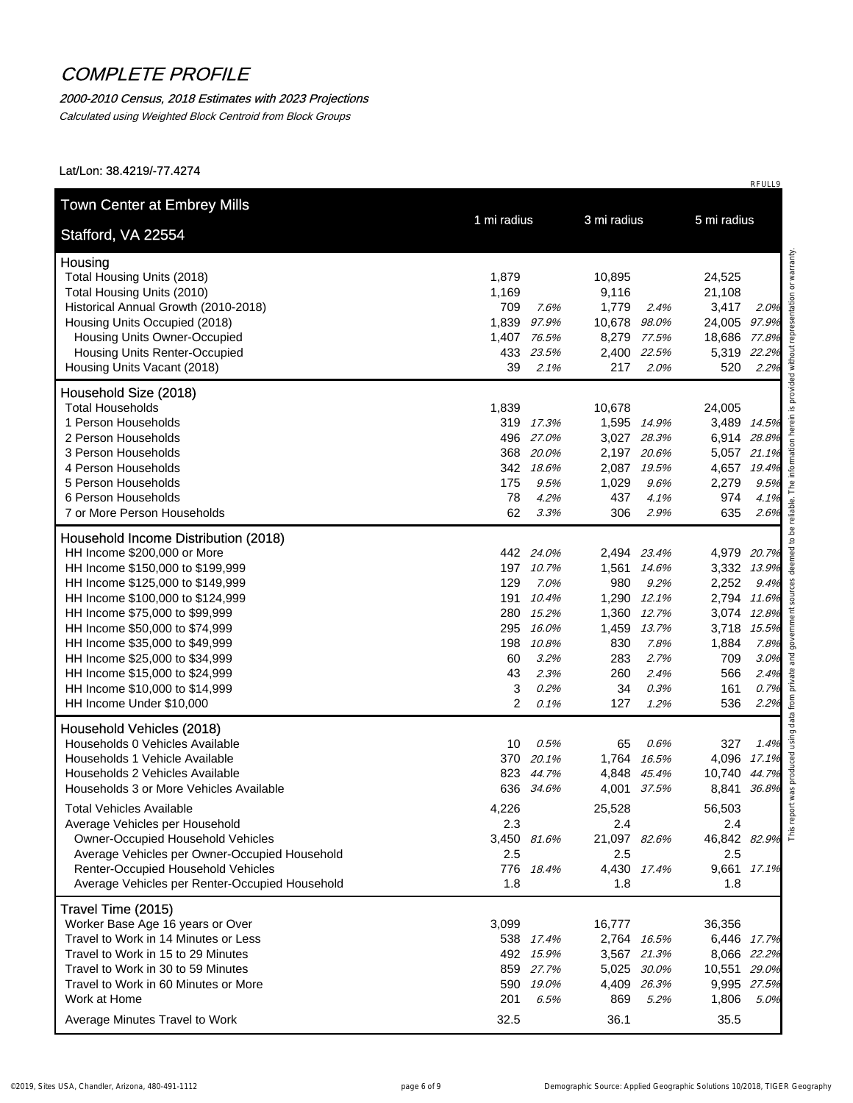### 2000-2010 Census, 2018 Estimates with 2023 Projections

Calculated using Weighted Block Centroid from Block Groups

Lat/Lon: 38.4219/-77.4274

|                                                | 1 mi radius            |              | 3 mi radius |              | 5 mi radius |
|------------------------------------------------|------------------------|--------------|-------------|--------------|-------------|
| Stafford, VA 22554                             |                        |              |             |              |             |
| Housing                                        |                        |              |             |              |             |
| Total Housing Units (2018)                     | 1,879                  | 10,895       |             | 24,525       |             |
| Total Housing Units (2010)                     | 1,169                  | 9,116        |             | 21,108       |             |
| Historical Annual Growth (2010-2018)           | 709<br>7.6%            | 1,779        | 2.4%        | 3,417        | 2.0%        |
| Housing Units Occupied (2018)                  | 1,839 97.9%            | 10,678 98.0% |             | 24,005 97.9% |             |
| <b>Housing Units Owner-Occupied</b>            | 1,407 76.5%            |              | 8,279 77.5% | 18,686 77.8% |             |
| <b>Housing Units Renter-Occupied</b>           | 433 23.5%              |              | 2,400 22.5% | 5,319 22.2%  |             |
| Housing Units Vacant (2018)                    | 39<br>$2.1\%$          | 217          | 2.0%        | 520          | 2.2%        |
| Household Size (2018)                          |                        |              |             |              |             |
| <b>Total Households</b>                        | 1,839                  | 10,678       |             | 24,005       |             |
| 1 Person Households                            | 319 17.3%              |              | 1,595 14.9% | 3,489 14.5%  |             |
| 2 Person Households                            | 496 27.0%              |              | 3,027 28.3% | 6,914 28.8%  |             |
| 3 Person Households                            | 368 20.0%              |              | 2,197 20.6% | 5,057 21.1%  |             |
| 4 Person Households                            | 342 18.6%              |              | 2,087 19.5% | 4,657 19.4%  |             |
| 5 Person Households                            | 175<br>9.5%            | 1,029        | 9.6%        | 2,279        | 9.5%        |
| 6 Person Households                            | 78<br>4.2%             | 437          | 4.1%        | 974          | 4.1%        |
| 7 or More Person Households                    | 62<br>3.3%             | 306          | 2.9%        | 635          | 2.6%        |
| Household Income Distribution (2018)           |                        |              |             |              |             |
| HH Income \$200,000 or More                    | 442 24.0%              |              | 2,494 23.4% | 4,979 20.7%  |             |
| HH Income \$150,000 to \$199,999               | 197 10.7%              |              | 1,561 14.6% | 3,332 13.9%  |             |
| HH Income \$125,000 to \$149,999               | 129<br>7.0%            | 980          | 9.2%        | 2,252        | 9.4%        |
| HH Income \$100,000 to \$124,999               | 191<br>10.4%           |              | 1,290 12.1% | 2,794 11.6%  |             |
| HH Income \$75,000 to \$99,999                 | 15.2%<br>280           |              | 1,360 12.7% | 3,074 12.8%  |             |
| HH Income \$50,000 to \$74,999                 | 295<br>16.0%           | 1,459        | 13.7%       | 3,718 15.5%  |             |
| HH Income \$35,000 to \$49,999                 | 198<br>10.8%           | 830          | 7.8%        | 1,884        | 7.8%        |
| HH Income \$25,000 to \$34,999                 | 60<br>3.2%             | 283          | 2.7%        | 709          | 3.0%        |
| HH Income \$15,000 to \$24,999                 | 43<br>2.3%             | 260          | 2.4%        | 566          | 2.4%        |
| HH Income \$10,000 to \$14,999                 | 3<br>0.2%              | 34           | 0.3%        | 161          | 0.7%        |
| HH Income Under \$10,000                       | $\overline{2}$<br>0.1% | 127          | 1.2%        | 536          | 2.2%        |
| Household Vehicles (2018)                      |                        |              |             |              |             |
| Households 0 Vehicles Available                | 10<br>0.5%             | 65           | 0.6%        | 327          | 1.4%        |
| Households 1 Vehicle Available                 | 370 20.1%              |              | 1,764 16.5% | 4,096 17.1%  |             |
| Households 2 Vehicles Available                | 823 44.7%              |              | 4,848 45.4% | 10,740 44.7% |             |
| Households 3 or More Vehicles Available        | 636 34.6%              |              | 4,001 37.5% | 8,841        | 36.8%       |
| <b>Total Vehicles Available</b>                | 4,226                  | 25,528       |             | 56,503       |             |
| Average Vehicles per Household                 | 2.3                    | 2.4          |             | 2.4          |             |
| Owner-Occupied Household Vehicles              | 3,450 81.6%            | 21,097 82.6% |             | 46,842 82.9% |             |
| Average Vehicles per Owner-Occupied Household  | 2.5                    | 2.5          |             | 2.5          |             |
| Renter-Occupied Household Vehicles             | 776 18.4%              |              | 4,430 17.4% | 9,661 17.1%  |             |
| Average Vehicles per Renter-Occupied Household | 1.8                    | 1.8          |             | 1.8          |             |
| Travel Time (2015)                             |                        |              |             |              |             |
| Worker Base Age 16 years or Over               | 3,099                  | 16,777       |             | 36,356       |             |
| Travel to Work in 14 Minutes or Less           | 538 17.4%              |              | 2,764 16.5% | 6,446 17.7%  |             |
| Travel to Work in 15 to 29 Minutes             | 492 15.9%              |              | 3,567 21.3% | 8,066 22.2%  |             |
| Travel to Work in 30 to 59 Minutes             | 859 27.7%              |              | 5,025 30.0% | 10,551 29.0% |             |
| Travel to Work in 60 Minutes or More           | 590 19.0%              |              | 4,409 26.3% | 9,995 27.5%  |             |
| Work at Home                                   | 201<br>6.5%            | 869          | 5.2%        | 1,806        | 5.0%        |
| Average Minutes Travel to Work                 | 32.5                   | 36.1         |             | 35.5         |             |
|                                                |                        |              |             |              |             |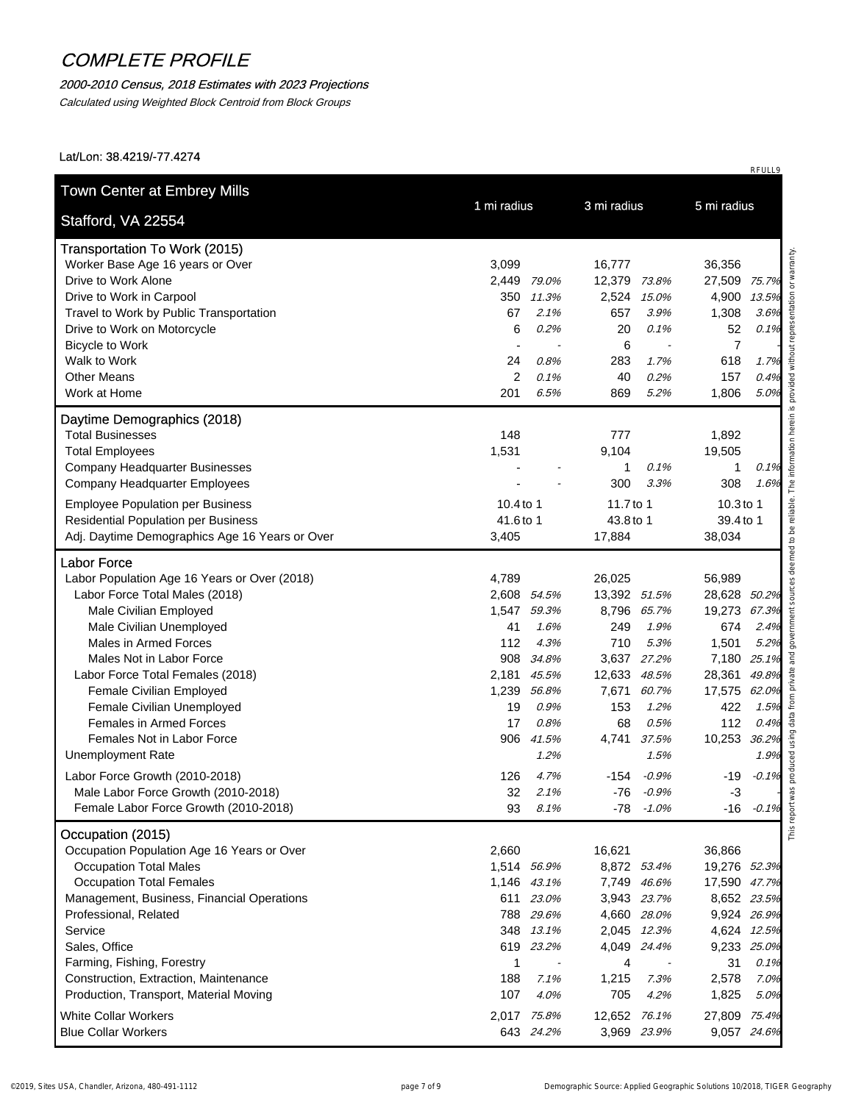#### 2000-2010 Census, 2018 Estimates with 2023 Projections

Calculated using Weighted Block Centroid from Block Groups

| Stafford, VA 22554                                           | 1 mi radius              | 3 mi radius                |                       | 5 mi radius                |               |  |
|--------------------------------------------------------------|--------------------------|----------------------------|-----------------------|----------------------------|---------------|--|
| <b>Transportation To Work (2015)</b>                         |                          |                            |                       |                            |               |  |
| Worker Base Age 16 years or Over                             | 3,099                    | 16,777                     |                       | 36,356                     |               |  |
| Drive to Work Alone                                          | 2,449<br>79.0%           | 12,379                     | 73.8%                 | 27,509                     | 75.7%         |  |
| Drive to Work in Carpool                                     | 11.3%<br>350             | 2,524                      | 15.0%                 | 4,900                      | 13.5%         |  |
| Travel to Work by Public Transportation                      | 67<br>2.1%               | 657                        | 3.9%                  | 1,308                      | 3.6%          |  |
| Drive to Work on Motorcycle                                  | 6<br>0.2%                | 20                         | 0.1%                  | 52                         | 0.1%          |  |
| <b>Bicycle to Work</b>                                       |                          | 6                          | $\tilde{\phantom{a}}$ | $\overline{7}$             |               |  |
| Walk to Work                                                 | 0.8%<br>24               | 283                        | 1.7%                  | 618                        | 1.7%          |  |
| <b>Other Means</b>                                           | 2<br>0.1%                | 40                         | 0.2%                  | 157                        | 0.4%          |  |
| Work at Home                                                 | 201<br>6.5%              | 869                        | 5.2%                  | 1,806                      | 5.0%          |  |
| Daytime Demographics (2018)                                  |                          |                            |                       |                            |               |  |
| <b>Total Businesses</b>                                      | 148                      | 777                        |                       | 1,892                      |               |  |
| <b>Total Employees</b>                                       | 1,531                    | 9,104                      |                       | 19,505                     |               |  |
| <b>Company Headquarter Businesses</b>                        |                          | $\mathbf{1}$               | 0.1%                  | 1                          | 0.1%          |  |
| Company Headquarter Employees                                |                          | 300                        | 3.3%                  | 308                        | 1.6%          |  |
| <b>Employee Population per Business</b>                      | 10.4 to 1                | 11.7 to 1                  |                       | 10.3 to 1                  |               |  |
| <b>Residential Population per Business</b>                   | 41.6 to 1                | 43.8 to 1                  |                       | 39.4 to 1                  |               |  |
| Adj. Daytime Demographics Age 16 Years or Over               | 3,405                    | 17,884                     |                       | 38,034                     |               |  |
| <b>Labor Force</b>                                           |                          |                            |                       |                            |               |  |
| Labor Population Age 16 Years or Over (2018)                 | 4,789                    | 26,025                     |                       | 56,989                     |               |  |
| Labor Force Total Males (2018)                               | 2,608 54.5%              | 13,392 51.5%               |                       | 28,628 50.2%               |               |  |
| Male Civilian Employed                                       | 1,547 59.3%              | 8,796 65.7%                |                       | 19,273                     | 67.3%         |  |
| Male Civilian Unemployed                                     | 41<br>1.6%               | 249                        | 1.9%                  | 674                        | 2.4%          |  |
| Males in Armed Forces                                        | 112<br>4.3%              | 710                        | 5.3%                  | 1,501                      | 5.2%          |  |
| Males Not in Labor Force                                     | 908<br>34.8%             | 3,637 27.2%                |                       | 7,180                      | 25.1%         |  |
| Labor Force Total Females (2018)                             | 2,181 45.5%              | 12,633                     | 48.5%                 | 28,361                     | 49.8%         |  |
| Female Civilian Employed                                     | 1,239<br>56.8%           | 7,671                      | 60.7%                 | 17,575                     | 62.0%         |  |
| Female Civilian Unemployed<br><b>Females in Armed Forces</b> | 19<br>0.9%<br>17         | 153                        | 1.2%                  | 422                        | 1.5%          |  |
| Females Not in Labor Force                                   | 0.8%<br>906<br>41.5%     | 68<br>4,741                | 0.5%<br>37.5%         | 112<br>10,253              | 0.4%<br>36.2% |  |
| <b>Unemployment Rate</b>                                     | 1.2%                     |                            | 1.5%                  |                            | 1.9%          |  |
|                                                              |                          |                            |                       |                            |               |  |
| Labor Force Growth (2010-2018)                               | 126<br>4.7%              | -154                       | $-0.9\%$              | -19                        | $-0.1\%$      |  |
| Male Labor Force Growth (2010-2018)                          | 32<br>2.1%               | -76                        | $-0.9%$               | $-3$                       |               |  |
| Female Labor Force Growth (2010-2018)                        | 93<br>8.1%               |                            | $-78 - 1.0\%$         |                            | $-16 - 0.1%$  |  |
| Occupation (2015)                                            |                          |                            |                       |                            |               |  |
| Occupation Population Age 16 Years or Over                   | 2,660                    | 16,621                     |                       | 36,866                     |               |  |
| <b>Occupation Total Males</b>                                | 1,514 56.9%              | 8,872 53.4%                |                       | 19,276 52.3%               |               |  |
| <b>Occupation Total Females</b>                              | 1,146 43.1%              | 7,749 46.6%                |                       | 17,590 47.7%               |               |  |
| Management, Business, Financial Operations                   | 611 23.0%                | 3,943 23.7%                |                       | 8,652 23.5%                |               |  |
| Professional, Related<br>Service                             | 788 29.6%<br>348 13.1%   | 4,660 28.0%<br>2,045 12.3% |                       | 9,924 26.9%<br>4,624 12.5% |               |  |
| Sales, Office                                                | 619 23.2%                | 4,049 24.4%                |                       | 9,233 25.0%                |               |  |
| Farming, Fishing, Forestry                                   | 1<br>$\blacksquare$      | 4                          |                       | 31                         | 0.1%          |  |
| Construction, Extraction, Maintenance                        | 188<br>7.1%              | 1,215                      | 7.3%                  | 2,578                      | 7.0%          |  |
| Production, Transport, Material Moving                       | 107<br>4.0%              | 705                        | 4.2%                  | 1,825                      | 5.0%          |  |
| <b>White Collar Workers</b>                                  |                          | 12,652 76.1%               |                       |                            |               |  |
| <b>Blue Collar Workers</b>                                   | 2,017 75.8%<br>643 24.2% |                            |                       | 27,809 75.4%               |               |  |
|                                                              |                          | 3,969 23.9%                |                       | 9,057 24.6%                |               |  |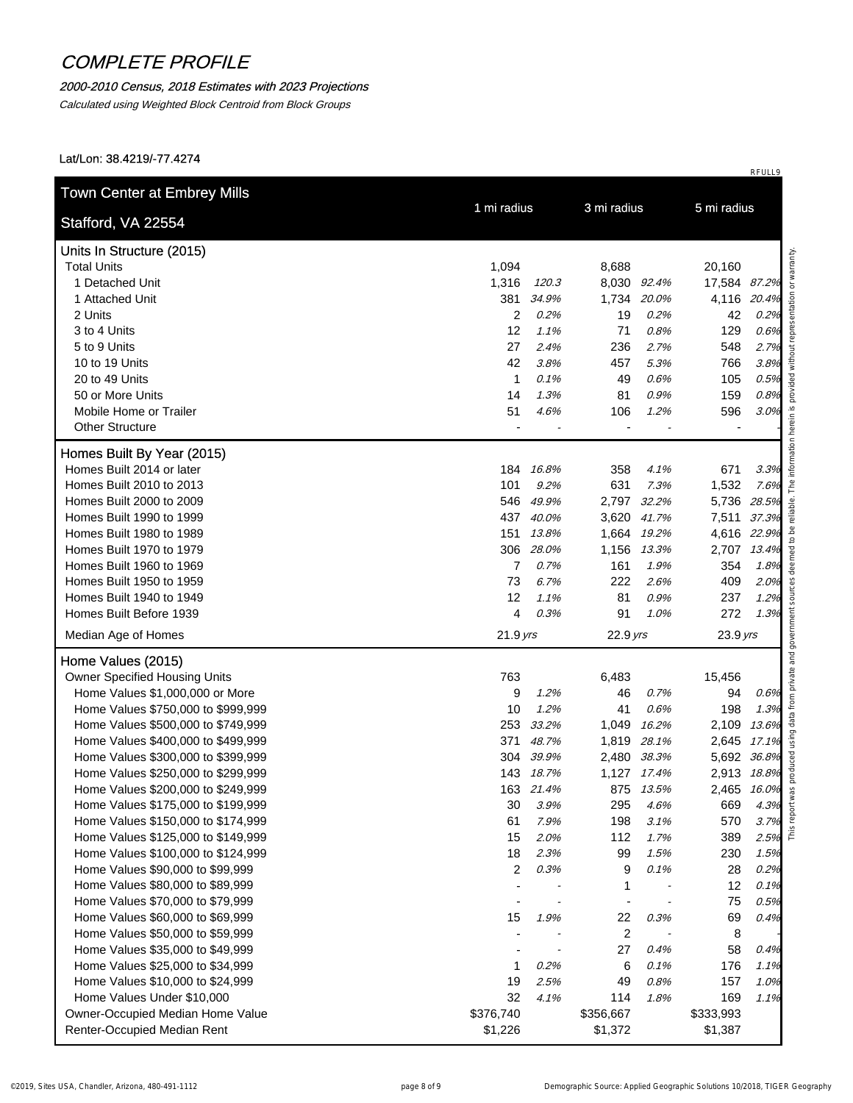#### 2000-2010 Census, 2018 Estimates with 2023 Projections

Calculated using Weighted Block Centroid from Block Groups

| Stafford, VA 22554                                              | 1 mi radius          |       | 3 mi radius      |             | 5 mi radius  |       |
|-----------------------------------------------------------------|----------------------|-------|------------------|-------------|--------------|-------|
| Units In Structure (2015)                                       |                      |       |                  |             |              |       |
| <b>Total Units</b>                                              | 1,094                |       | 8,688            |             | 20,160       |       |
| 1 Detached Unit                                                 | 1,316                | 120.3 |                  | 8,030 92.4% | 17,584 87.2% |       |
| 1 Attached Unit                                                 | 381                  | 34.9% | 1,734            | 20.0%       | 4,116 20.4%  |       |
| 2 Units                                                         | 2                    | 0.2%  | 19               | 0.2%        | 42           | 0.2%  |
| 3 to 4 Units                                                    | 12                   | 1.1%  | 71               | 0.8%        | 129          | 0.6%  |
| 5 to 9 Units                                                    | 27                   | 2.4%  | 236              | 2.7%        | 548          | 2.7%  |
| 10 to 19 Units                                                  | 42                   | 3.8%  | 457              | 5.3%        | 766          | 3.8%  |
| 20 to 49 Units                                                  | $\mathbf{1}$         | 0.1%  | 49               | 0.6%        | 105          | 0.5%  |
| 50 or More Units                                                | 14                   | 1.3%  | 81               | 0.9%        | 159          | 0.8%  |
| Mobile Home or Trailer                                          | 51                   | 4.6%  | 106              | 1.2%        | 596          | 3.0%  |
| <b>Other Structure</b>                                          |                      |       |                  |             |              |       |
| Homes Built By Year (2015)                                      |                      |       |                  |             |              |       |
| Homes Built 2014 or later                                       | 184 16.8%            |       | 358              | 4.1%        | 671          | 3.3%  |
| Homes Built 2010 to 2013                                        | 101                  | 9.2%  | 631              | 7.3%        | 1,532        | 7.6%  |
| Homes Built 2000 to 2009                                        | 546                  | 49.9% | 2,797            | 32.2%       | 5,736 28.5%  |       |
| Homes Built 1990 to 1999                                        | 437                  | 40.0% |                  | 3,620 41.7% | 7,511 37.3%  |       |
| Homes Built 1980 to 1989                                        | 151                  | 13.8% |                  | 1,664 19.2% | 4,616 22.9%  |       |
| Homes Built 1970 to 1979                                        | 306                  | 28.0% |                  | 1,156 13.3% | 2,707 13.4%  |       |
| Homes Built 1960 to 1969                                        | $\overline{7}$       | 0.7%  | 161              | 1.9%        | 354          | 1.8%  |
| Homes Built 1950 to 1959                                        | 73                   | 6.7%  | 222              | 2.6%        | 409          | 2.0%  |
| Homes Built 1940 to 1949                                        | 12                   | 1.1%  | 81               | 0.9%        | 237          | 1.2%  |
| Homes Built Before 1939                                         | 4                    | 0.3%  | 91               | 1.0%        | 272          | 1.3%  |
| Median Age of Homes                                             | $21.9$ yrs           |       | 22.9 yrs         |             | $23.9$ yrs   |       |
| Home Values (2015)                                              |                      |       |                  |             |              |       |
| Owner Specified Housing Units                                   | 763                  |       | 6,483            |             | 15,456       |       |
| Home Values \$1,000,000 or More                                 | 9                    | 1.2%  | 46               | 0.7%        | 94           | 0.6%  |
| Home Values \$750,000 to \$999,999                              | 10                   | 1.2%  | 41               | 0.6%        | 198          | 1.3%  |
| Home Values \$500,000 to \$749,999                              | 253                  | 33.2% | 1,049            | 16.2%       | 2,109        | 13.6% |
| Home Values \$400,000 to \$499,999                              | 371                  | 48.7% | 1,819            | 28.1%       | 2,645        | 17.1% |
| Home Values \$300,000 to \$399,999                              | 304                  | 39.9% |                  | 2,480 38.3% | 5,692 36.8%  |       |
| Home Values \$250,000 to \$299,999                              | 143 18.7%            |       |                  | 1,127 17.4% | 2,913 18.8%  |       |
| Home Values \$200,000 to \$249,999                              | 163 21.4%            |       |                  | 875 13.5%   | 2,465 16.0%  |       |
| Home Values \$175,000 to \$199,999                              | 30                   | 3.9%  | 295              | 4.6%        | 669          | 4.3%  |
| Home Values \$150,000 to \$174,999                              | 61                   | 7.9%  | 198              | 3.1%        | 570          | 3.7%  |
| Home Values \$125,000 to \$149,999                              | 15                   | 2.0%  | 112              | 1.7%        | 389          | 2.5%  |
| Home Values \$100,000 to \$124,999                              | 18                   | 2.3%  | 99               | 1.5%        | 230          | 1.5%  |
| Home Values \$90,000 to \$99,999                                | $\overline{2}$       | 0.3%  | 9                | 0.1%        | 28           | 0.2%  |
| Home Values \$80,000 to \$89,999                                |                      |       | $\mathbf 1$      |             | 12           | 0.1%  |
| Home Values \$70,000 to \$79,999                                |                      |       | $\blacksquare$   |             | 75           | 0.5%  |
| Home Values \$60,000 to \$69,999                                | 15                   | 1.9%  | 22               | 0.3%        | 69           | 0.4%  |
| Home Values \$50,000 to \$59,999                                |                      |       | $\boldsymbol{2}$ |             | 8            |       |
| Home Values \$35,000 to \$49,999                                |                      |       | 27               | 0.4%        | 58           | 0.4%  |
| Home Values \$25,000 to \$34,999                                | 1                    | 0.2%  | 6                | 0.1%        | 176          | 1.1%  |
| Home Values \$10,000 to \$24,999                                | 19                   | 2.5%  | 49               | 0.8%        | 157          | 1.0%  |
|                                                                 | 32                   | 4.1%  | 114              | 1.8%        | 169          | 1.1%  |
| Home Values Under \$10,000                                      |                      |       | \$356,667        |             | \$333,993    |       |
| Owner-Occupied Median Home Value<br>Renter-Occupied Median Rent | \$376,740<br>\$1,226 |       | \$1,372          |             | \$1,387      |       |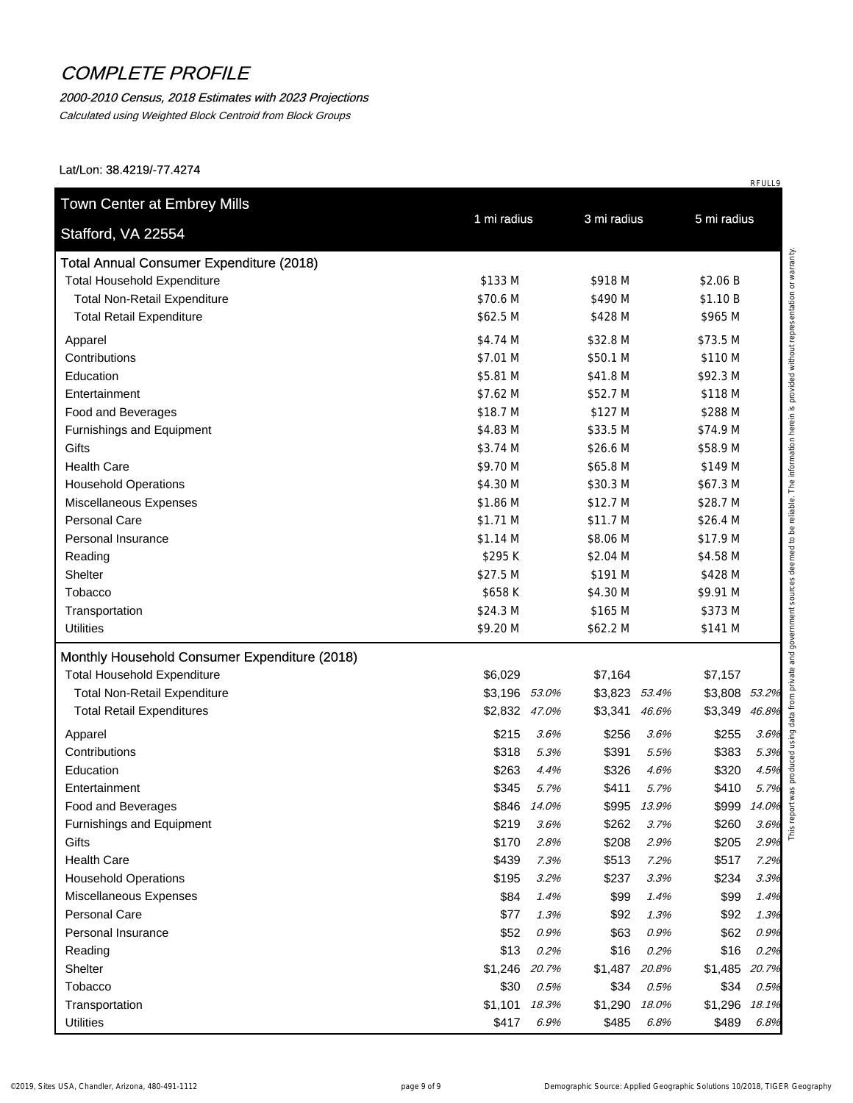#### 2000-2010 Census, 2018 Estimates with 2023 Projections

Calculated using Weighted Block Centroid from Block Groups

Lat/Lon: 38.4219/-77.4274

| Stafford, VA 22554                              |                  |               |               |             |                             |      |
|-------------------------------------------------|------------------|---------------|---------------|-------------|-----------------------------|------|
| <b>Total Annual Consumer Expenditure (2018)</b> |                  |               |               |             |                             |      |
| <b>Total Household Expenditure</b>              | \$133 M          |               | \$918 M       |             | \$2.06 B                    |      |
| <b>Total Non-Retail Expenditure</b>             | \$70.6 M         |               | \$490 M       |             | \$1.10 B                    |      |
| <b>Total Retail Expenditure</b>                 | \$62.5 M         |               | \$428 M       |             | \$965 M                     |      |
| Apparel                                         | \$4.74 M         |               | \$32.8 M      |             | \$73.5 M                    |      |
| Contributions                                   | \$7.01 M         |               | \$50.1 M      |             | \$110 M                     |      |
| Education                                       | \$5.81 M         |               | \$41.8 M      |             | \$92.3 M                    |      |
| Entertainment                                   | \$7.62 M         |               | \$52.7 M      |             | \$118 M                     |      |
| Food and Beverages                              | \$18.7 M         |               | \$127 M       |             | \$288 M                     |      |
| Furnishings and Equipment                       | \$4.83 M         |               | \$33.5 M      |             | \$74.9 M                    |      |
| Gifts                                           | \$3.74 M         |               | \$26.6 M      |             | \$58.9 M                    |      |
| <b>Health Care</b>                              | \$9.70 M         |               | \$65.8 M      |             | \$149 M                     |      |
| <b>Household Operations</b>                     | \$4.30 M         |               | \$30.3 M      |             | \$67.3 M                    |      |
| Miscellaneous Expenses                          | \$1.86 M         |               | \$12.7 M      |             | \$28.7 M                    |      |
| <b>Personal Care</b>                            | \$1.71 M         |               | \$11.7 M      |             | \$26.4 M                    |      |
| Personal Insurance                              | \$1.14 M         |               | \$8.06 M      |             | \$17.9 M                    |      |
| Reading                                         | \$295K           |               | \$2.04 M      |             | \$4.58 M                    |      |
| Shelter                                         | \$27.5 M         |               | \$191 M       |             | \$428 M                     |      |
| Tobacco                                         | \$658K           |               | \$4.30 M      |             | \$9.91 M                    |      |
| Transportation                                  | \$24.3 M         |               | \$165 M       |             | \$373 M                     |      |
| <b>Utilities</b>                                | \$9.20 M         |               | \$62.2 M      |             | \$141 M                     |      |
| Monthly Household Consumer Expenditure (2018)   |                  |               |               |             |                             |      |
| <b>Total Household Expenditure</b>              | \$6,029          |               | \$7,164       |             | \$7,157                     |      |
| <b>Total Non-Retail Expenditure</b>             | \$3,196 53.0%    |               | \$3,823 53.4% |             | \$3,808 53.2%               |      |
| <b>Total Retail Expenditures</b>                | \$2,832 47.0%    |               | \$3,341       | 46.6%       | \$3,349 46.8%               |      |
|                                                 |                  |               |               |             |                             |      |
| Apparel                                         | \$215            | 3.6%          | \$256         | 3.6%        | \$255                       | 3.6% |
| Contributions                                   | \$318            | 5.3%          | \$391         | 5.5%        | \$383                       | 5.3% |
| Education                                       | \$263            | 4.4%          | \$326         | 4.6%        | \$320                       | 4.5% |
| Entertainment                                   | \$345            | 5.7%          | \$411         | 5.7%        | \$410                       | 5.7% |
| Food and Beverages                              | \$846 14.0%      |               |               | \$995 13.9% | \$999 14.0%                 |      |
| Furnishings and Equipment                       | \$219            | 3.6%          | \$262         | 3.7%        | \$260                       | 3.6% |
| Gifts                                           | \$170            | 2.8%          | \$208         | 2.9%        | \$205                       | 2.9% |
| <b>Health Care</b>                              | \$439            | 7.3%          | \$513         | 7.2%        | \$517                       | 7.2% |
| <b>Household Operations</b>                     | \$195            | 3.2%          | \$237         | 3.3%        | \$234                       | 3.3% |
| Miscellaneous Expenses                          | \$84             | 1.4%          | \$99          | 1.4%        | \$99                        | 1.4% |
| Personal Care                                   | \$77             | 1.3%          | \$92          | 1.3%        | \$92                        | 1.3% |
| Personal Insurance                              | \$52             | 0.9%          | \$63          | 0.9%        | \$62                        | 0.9% |
| Reading                                         | \$13             | 0.2%          | \$16          | 0.2%        | \$16                        | 0.2% |
| Shelter                                         | \$1,246 20.7%    |               | \$1,487 20.8% |             | \$1,485 20.7%               |      |
| Tobacco                                         | \$30             | 0.5%          | \$34          | 0.5%        | \$34                        | 0.5% |
| Transportation                                  | \$1,101<br>\$417 | 18.3%<br>6.9% | \$1,290       | 18.0%       | \$1,296 18.1%<br>\$489 6.8% |      |
| <b>Utilities</b>                                |                  |               | \$485         | 6.8%        |                             |      |